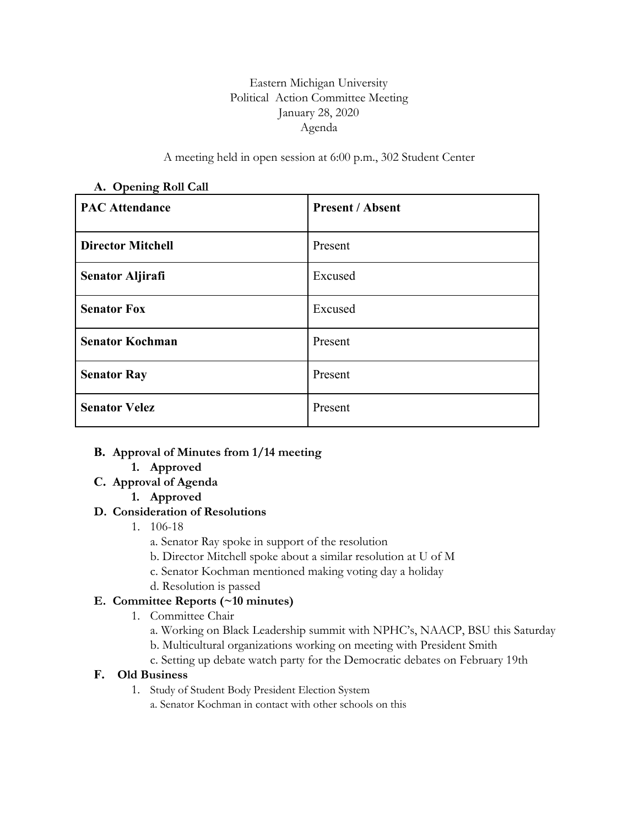## Eastern Michigan University Political Action Committee Meeting January 28, 2020 Agenda

A meeting held in open session at 6:00 p.m., 302 Student Center

| $\mathbf{r}$<br><b>PAC Attendance</b> | <b>Present / Absent</b> |
|---------------------------------------|-------------------------|
| <b>Director Mitchell</b>              | Present                 |
| <b>Senator Aljirafi</b>               | Excused                 |
| <b>Senator Fox</b>                    | Excused                 |
| <b>Senator Kochman</b>                | Present                 |
| <b>Senator Ray</b>                    | Present                 |
| <b>Senator Velez</b>                  | Present                 |

#### **A. Opening Roll Call**

### **B. Approval of Minutes from 1/14 meeting**

- **1. Approved**
- **C. Approval of Agenda**
	- **1. Approved**

### **D. Consideration of Resolutions**

- 1. 106-18
	- a. Senator Ray spoke in support of the resolution
	- b. Director Mitchell spoke about a similar resolution at U of M
	- c. Senator Kochman mentioned making voting day a holiday
	- d. Resolution is passed

### **E. Committee Reports (~10 minutes)**

- 1. Committee Chair
	- a. Working on Black Leadership summit with NPHC's, NAACP, BSU this Saturday
	- b. Multicultural organizations working on meeting with President Smith
	- c. Setting up debate watch party for the Democratic debates on February 19th

### **F. Old Business**

1. Study of Student Body President Election System a. Senator Kochman in contact with other schools on this